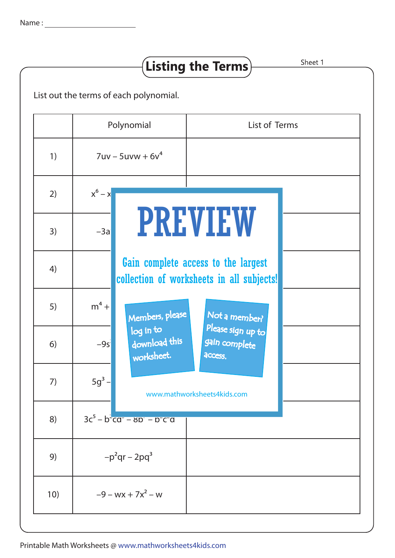|     | List out the terms of each polynomial. |                                                                                  |                                               |  |
|-----|----------------------------------------|----------------------------------------------------------------------------------|-----------------------------------------------|--|
|     | Polynomial<br>$7uv - 5uvw + 6v4$       |                                                                                  | List of Terms                                 |  |
| 1)  |                                        |                                                                                  |                                               |  |
| 2)  | $x^6 - x$                              |                                                                                  |                                               |  |
| 3)  | $-3a$                                  |                                                                                  | <b>PREVIEW</b>                                |  |
| 4)  |                                        | Gain complete access to the largest<br>collection of worksheets in all subjects! |                                               |  |
| 5)  | $m^4$ +                                | Members, please                                                                  | Not a member?                                 |  |
| 6)  | $-9s$                                  | log in to<br>download this<br>worksheet.                                         | Please sign up to<br>gain complete<br>access. |  |
| 7)  | $5g^3$ -                               | www.mathworksheets4kids.com                                                      |                                               |  |
| 8)  |                                        | $3c^5 - b^2ca^2 - 8b^2 - b^2ca$                                                  |                                               |  |
| 9)  | $-p^2qr-2pq^3$                         |                                                                                  |                                               |  |
| 10) | $-9 - wx + 7x^2 - w$                   |                                                                                  |                                               |  |